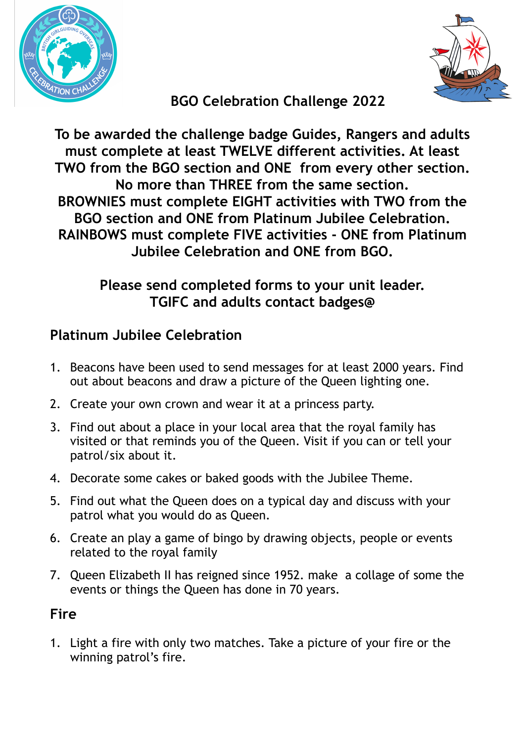



# **BGO Celebration Challenge 2022**

**To be awarded the challenge badge Guides, Rangers and adults must complete at least TWELVE different activities. At least TWO from the BGO section and ONE from every other section. No more than THREE from the same section. BROWNIES must complete EIGHT activities with TWO from the BGO section and ONE from Platinum Jubilee Celebration. RAINBOWS must complete FIVE activities - ONE from Platinum Jubilee Celebration and ONE from BGO.**

### **Please send completed forms to your unit leader. TGIFC and adults contact badges@**

### **Platinum Jubilee Celebration**

- 1. Beacons have been used to send messages for at least 2000 years. Find out about beacons and draw a picture of the Queen lighting one.
- 2. Create your own crown and wear it at a princess party.
- 3. Find out about a place in your local area that the royal family has visited or that reminds you of the Queen. Visit if you can or tell your patrol/six about it.
- 4. Decorate some cakes or baked goods with the Jubilee Theme.
- 5. Find out what the Queen does on a typical day and discuss with your patrol what you would do as Queen.
- 6. Create an play a game of bingo by drawing objects, people or events related to the royal family
- 7. Queen Elizabeth II has reigned since 1952. make a collage of some the events or things the Queen has done in 70 years.

## **Fire**

1. Light a fire with only two matches. Take a picture of your fire or the winning patrol's fire.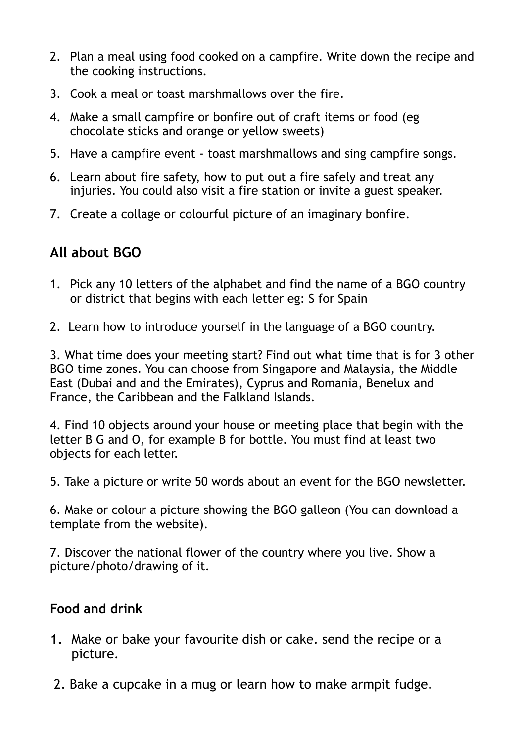- 2. Plan a meal using food cooked on a campfire. Write down the recipe and the cooking instructions.
- 3. Cook a meal or toast marshmallows over the fire.
- 4. Make a small campfire or bonfire out of craft items or food (eg chocolate sticks and orange or yellow sweets)
- 5. Have a campfire event toast marshmallows and sing campfire songs.
- 6. Learn about fire safety, how to put out a fire safely and treat any injuries. You could also visit a fire station or invite a guest speaker.
- 7. Create a collage or colourful picture of an imaginary bonfire.

## **All about BGO**

- 1. Pick any 10 letters of the alphabet and find the name of a BGO country or district that begins with each letter eg: S for Spain
- 2. Learn how to introduce yourself in the language of a BGO country.

3. What time does your meeting start? Find out what time that is for 3 other BGO time zones. You can choose from Singapore and Malaysia, the Middle East (Dubai and and the Emirates), Cyprus and Romania, Benelux and France, the Caribbean and the Falkland Islands.

4. Find 10 objects around your house or meeting place that begin with the letter B G and O, for example B for bottle. You must find at least two objects for each letter.

5. Take a picture or write 50 words about an event for the BGO newsletter.

6. Make or colour a picture showing the BGO galleon (You can download a template from the website).

7. Discover the national flower of the country where you live. Show a picture/photo/drawing of it.

#### **Food and drink**

- **1.** Make or bake your favourite dish or cake. send the recipe or a picture.
- 2. Bake a cupcake in a mug or learn how to make armpit fudge.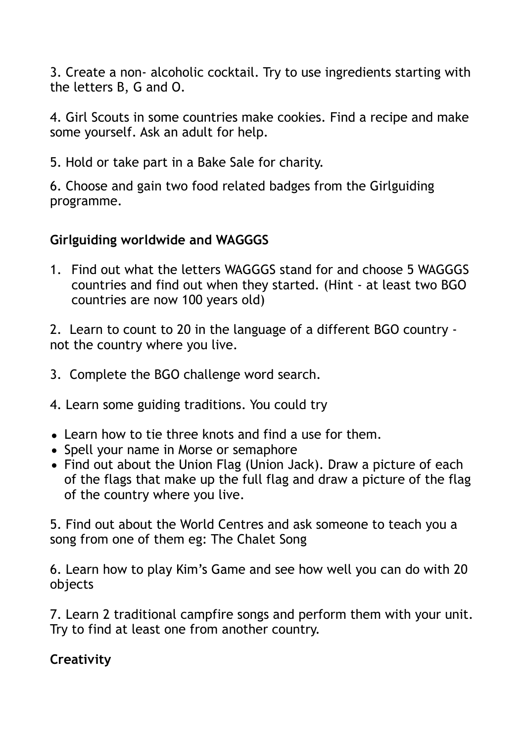3. Create a non- alcoholic cocktail. Try to use ingredients starting with the letters B, G and O.

4. Girl Scouts in some countries make cookies. Find a recipe and make some yourself. Ask an adult for help.

5. Hold or take part in a Bake Sale for charity.

6. Choose and gain two food related badges from the Girlguiding programme.

#### **Girlguiding worldwide and WAGGGS**

1. Find out what the letters WAGGGS stand for and choose 5 WAGGGS countries and find out when they started. (Hint - at least two BGO countries are now 100 years old)

2. Learn to count to 20 in the language of a different BGO country not the country where you live.

- 3. Complete the BGO challenge word search.
- 4. Learn some guiding traditions. You could try
- Learn how to tie three knots and find a use for them.
- Spell your name in Morse or semaphore
- Find out about the Union Flag (Union Jack). Draw a picture of each of the flags that make up the full flag and draw a picture of the flag of the country where you live.

5. Find out about the World Centres and ask someone to teach you a song from one of them eg: The Chalet Song

6. Learn how to play Kim's Game and see how well you can do with 20 objects

7. Learn 2 traditional campfire songs and perform them with your unit. Try to find at least one from another country.

#### **Creativity**